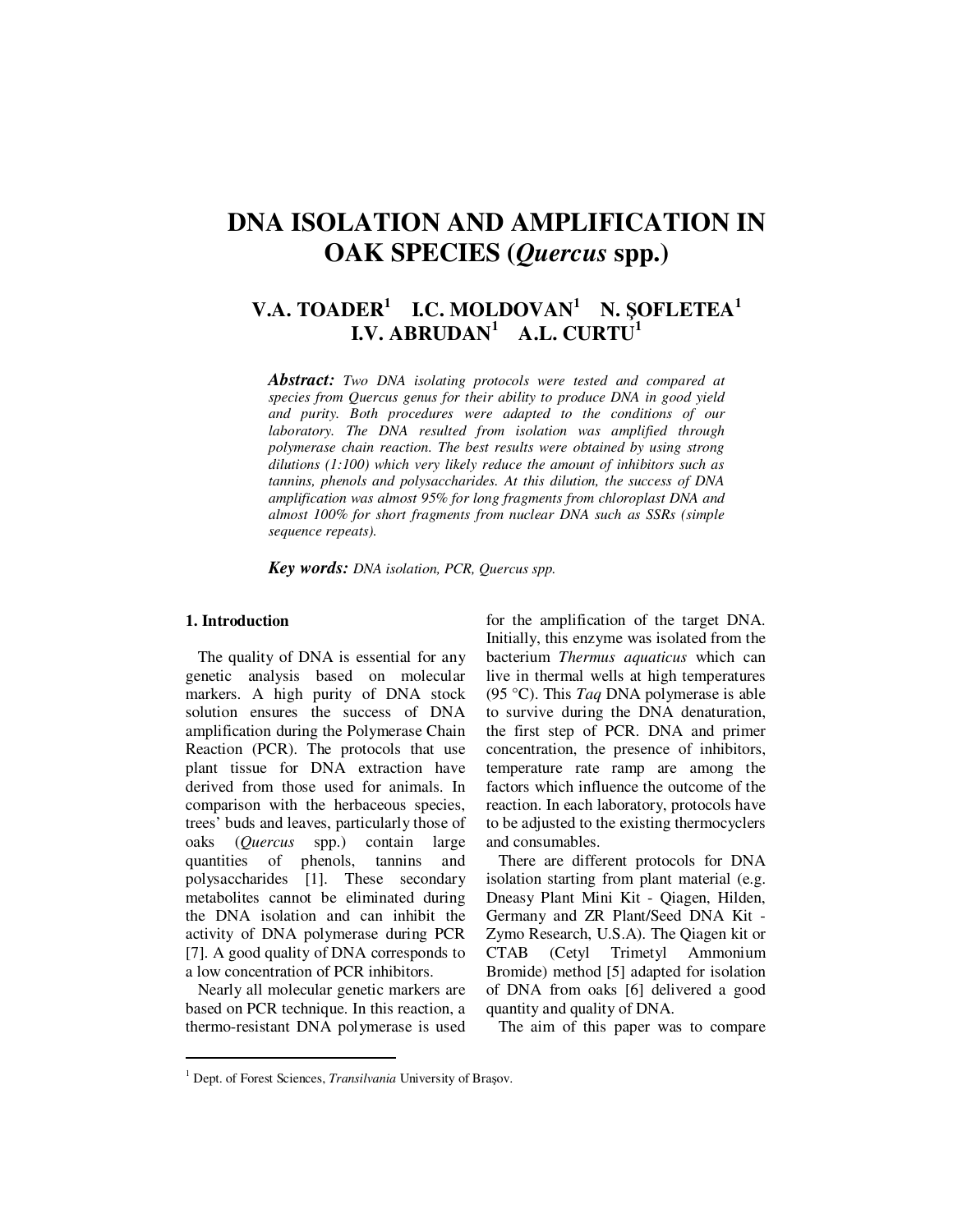# **DNA ISOLATION AND AMPLIFICATION IN OAK SPECIES (***Quercus* **spp.)**

# **V.A. TOADER<sup>1</sup> I.C. MOLDOVAN<sup>1</sup> N.** Ş**OFLETEA<sup>1</sup> I.V. ABRUDAN<sup>1</sup> A.L. CURTU<sup>1</sup>**

*Abstract: Two DNA isolating protocols were tested and compared at species from Quercus genus for their ability to produce DNA in good yield and purity. Both procedures were adapted to the conditions of our laboratory. The DNA resulted from isolation was amplified through polymerase chain reaction. The best results were obtained by using strong dilutions (1:100) which very likely reduce the amount of inhibitors such as tannins, phenols and polysaccharides. At this dilution, the success of DNA amplification was almost 95% for long fragments from chloroplast DNA and almost 100% for short fragments from nuclear DNA such as SSRs (simple sequence repeats).* 

*Key words: DNA isolation, PCR, Quercus spp.*

# **1. Introduction**

 $\ddot{ }$ 

The quality of DNA is essential for any genetic analysis based on molecular markers. A high purity of DNA stock solution ensures the success of DNA amplification during the Polymerase Chain Reaction (PCR). The protocols that use plant tissue for DNA extraction have derived from those used for animals. In comparison with the herbaceous species, trees' buds and leaves, particularly those of oaks (*Quercus* spp.) contain large quantities of phenols, tannins and polysaccharides [1]. These secondary metabolites cannot be eliminated during the DNA isolation and can inhibit the activity of DNA polymerase during PCR [7]. A good quality of DNA corresponds to a low concentration of PCR inhibitors.

Nearly all molecular genetic markers are based on PCR technique. In this reaction, a thermo-resistant DNA polymerase is used for the amplification of the target DNA. Initially, this enzyme was isolated from the bacterium *Thermus aquaticus* which can live in thermal wells at high temperatures (95 °C). This *Taq* DNA polymerase is able to survive during the DNA denaturation, the first step of PCR. DNA and primer concentration, the presence of inhibitors, temperature rate ramp are among the factors which influence the outcome of the reaction. In each laboratory, protocols have to be adjusted to the existing thermocyclers and consumables.

There are different protocols for DNA isolation starting from plant material (e.g. Dneasy Plant Mini Kit - Qiagen, Hilden, Germany and ZR Plant/Seed DNA Kit - Zymo Research, U.S.A). The Qiagen kit or CTAB (Cetyl Trimetyl Ammonium Bromide) method [5] adapted for isolation of DNA from oaks [6] delivered a good quantity and quality of DNA.

The aim of this paper was to compare

<sup>&</sup>lt;sup>1</sup> Dept. of Forest Sciences, *Transilvania* University of Brașov.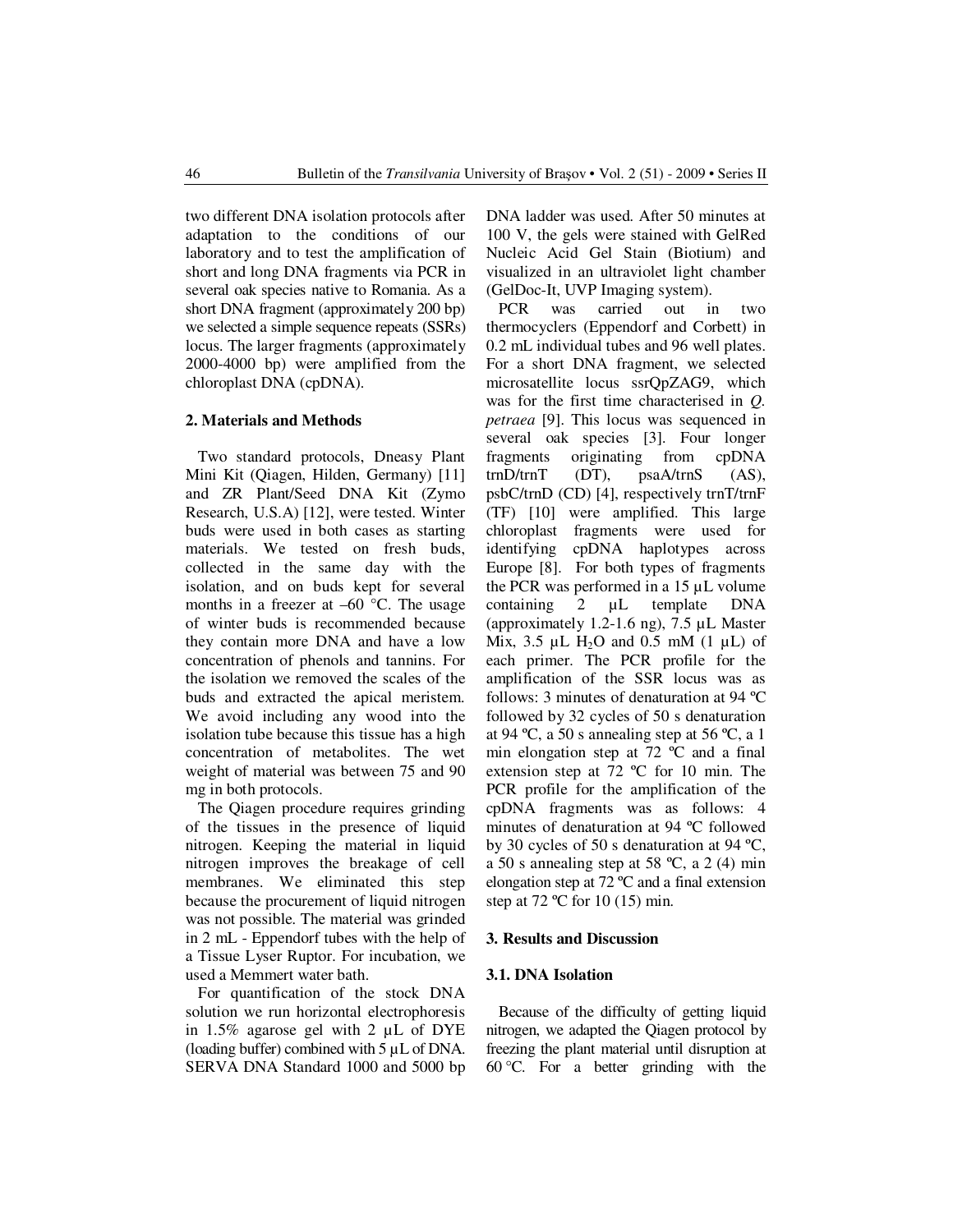two different DNA isolation protocols after adaptation to the conditions of our laboratory and to test the amplification of short and long DNA fragments via PCR in several oak species native to Romania. As a short DNA fragment (approximately 200 bp) we selected a simple sequence repeats (SSRs) locus. The larger fragments (approximately 2000-4000 bp) were amplified from the chloroplast DNA (cpDNA).

### **2. Materials and Methods**

Two standard protocols, Dneasy Plant Mini Kit (Qiagen, Hilden, Germany) [11] and ZR Plant/Seed DNA Kit (Zymo Research, U.S.A) [12], were tested. Winter buds were used in both cases as starting materials. We tested on fresh buds, collected in the same day with the isolation, and on buds kept for several months in a freezer at  $-60$  °C. The usage of winter buds is recommended because they contain more DNA and have a low concentration of phenols and tannins. For the isolation we removed the scales of the buds and extracted the apical meristem. We avoid including any wood into the isolation tube because this tissue has a high concentration of metabolites. The wet weight of material was between 75 and 90 mg in both protocols.

The Qiagen procedure requires grinding of the tissues in the presence of liquid nitrogen. Keeping the material in liquid nitrogen improves the breakage of cell membranes. We eliminated this step because the procurement of liquid nitrogen was not possible. The material was grinded in 2 mL - Eppendorf tubes with the help of a Tissue Lyser Ruptor. For incubation, we used a Memmert water bath.

For quantification of the stock DNA solution we run horizontal electrophoresis in 1.5% agarose gel with 2 µL of DYE (loading buffer) combined with 5 µL of DNA. SERVA DNA Standard 1000 and 5000 bp DNA ladder was used. After 50 minutes at 100 V, the gels were stained with GelRed Nucleic Acid Gel Stain (Biotium) and visualized in an ultraviolet light chamber (GelDoc-It, UVP Imaging system).

PCR was carried out in two thermocyclers (Eppendorf and Corbett) in 0.2 mL individual tubes and 96 well plates. For a short DNA fragment, we selected microsatellite locus ssrQpZAG9, which was for the first time characterised in *Q. petraea* [9]. This locus was sequenced in several oak species [3]. Four longer fragments originating from cpDNA trnD/trnT (DT), psaA/trnS (AS), psbC/trnD (CD) [4], respectively trnT/trnF (TF) [10] were amplified. This large chloroplast fragments were used for identifying cpDNA haplotypes across Europe [8]. For both types of fragments the PCR was performed in a 15  $\mu$ L volume<br>containing 2  $\mu$ L template DNA containing 2 µL template DNA (approximately 1.2-1.6 ng), 7.5 µL Master Mix, 3.5  $\mu$ L H<sub>2</sub>O and 0.5 mM (1  $\mu$ L) of each primer. The PCR profile for the amplification of the SSR locus was as follows: 3 minutes of denaturation at 94 ºC followed by 32 cycles of 50 s denaturation at 94 °C, a 50 s annealing step at 56 °C, a 1 min elongation step at 72 ºC and a final extension step at 72 ºC for 10 min. The PCR profile for the amplification of the cpDNA fragments was as follows: 4 minutes of denaturation at 94 ºC followed by 30 cycles of 50 s denaturation at 94 ºC, a 50 s annealing step at 58 ºC, a 2 (4) min elongation step at 72 ºC and a final extension step at 72 ºC for 10 (15) min.

### **3. Results and Discussion**

### **3.1. DNA Isolation**

Because of the difficulty of getting liquid nitrogen, we adapted the Qiagen protocol by freezing the plant material until disruption at 60 °C. For a better grinding with the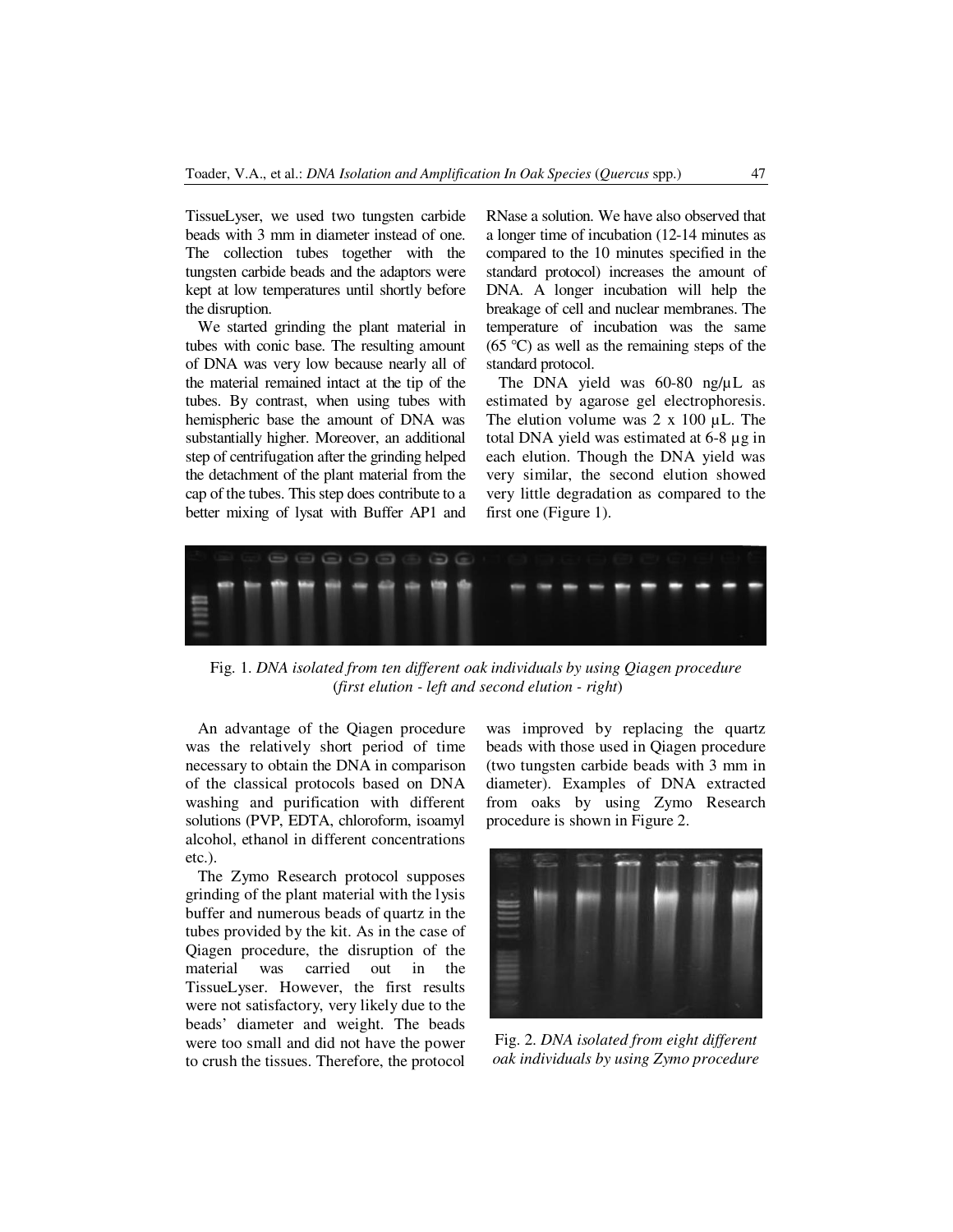TissueLyser, we used two tungsten carbide beads with 3 mm in diameter instead of one. The collection tubes together with the tungsten carbide beads and the adaptors were kept at low temperatures until shortly before the disruption.

We started grinding the plant material in tubes with conic base. The resulting amount of DNA was very low because nearly all of the material remained intact at the tip of the tubes. By contrast, when using tubes with hemispheric base the amount of DNA was substantially higher. Moreover, an additional step of centrifugation after the grinding helped the detachment of the plant material from the cap of the tubes. This step does contribute to a better mixing of lysat with Buffer AP1 and RNase a solution. We have also observed that a longer time of incubation (12-14 minutes as compared to the 10 minutes specified in the standard protocol) increases the amount of DNA. A longer incubation will help the breakage of cell and nuclear membranes. The temperature of incubation was the same  $(65 \degree C)$  as well as the remaining steps of the standard protocol.

The DNA yield was 60-80 ng/µL as estimated by agarose gel electrophoresis. The elution volume was  $2 \times 100 \mu L$ . The total DNA yield was estimated at 6-8 µg in each elution. Though the DNA yield was very similar, the second elution showed very little degradation as compared to the first one (Figure 1).



Fig. 1. *DNA isolated from ten different oak individuals by using Qiagen procedure*  (*first elution - left and second elution - right*)

An advantage of the Qiagen procedure was the relatively short period of time necessary to obtain the DNA in comparison of the classical protocols based on DNA washing and purification with different solutions (PVP, EDTA, chloroform, isoamyl alcohol, ethanol in different concentrations etc.).

The Zymo Research protocol supposes grinding of the plant material with the lysis buffer and numerous beads of quartz in the tubes provided by the kit. As in the case of Qiagen procedure, the disruption of the material was carried out in the TissueLyser. However, the first results were not satisfactory, very likely due to the beads' diameter and weight. The beads were too small and did not have the power to crush the tissues. Therefore, the protocol was improved by replacing the quartz beads with those used in Qiagen procedure (two tungsten carbide beads with 3 mm in diameter). Examples of DNA extracted from oaks by using Zymo Research procedure is shown in Figure 2.



Fig. 2. *DNA isolated from eight different oak individuals by using Zymo procedure*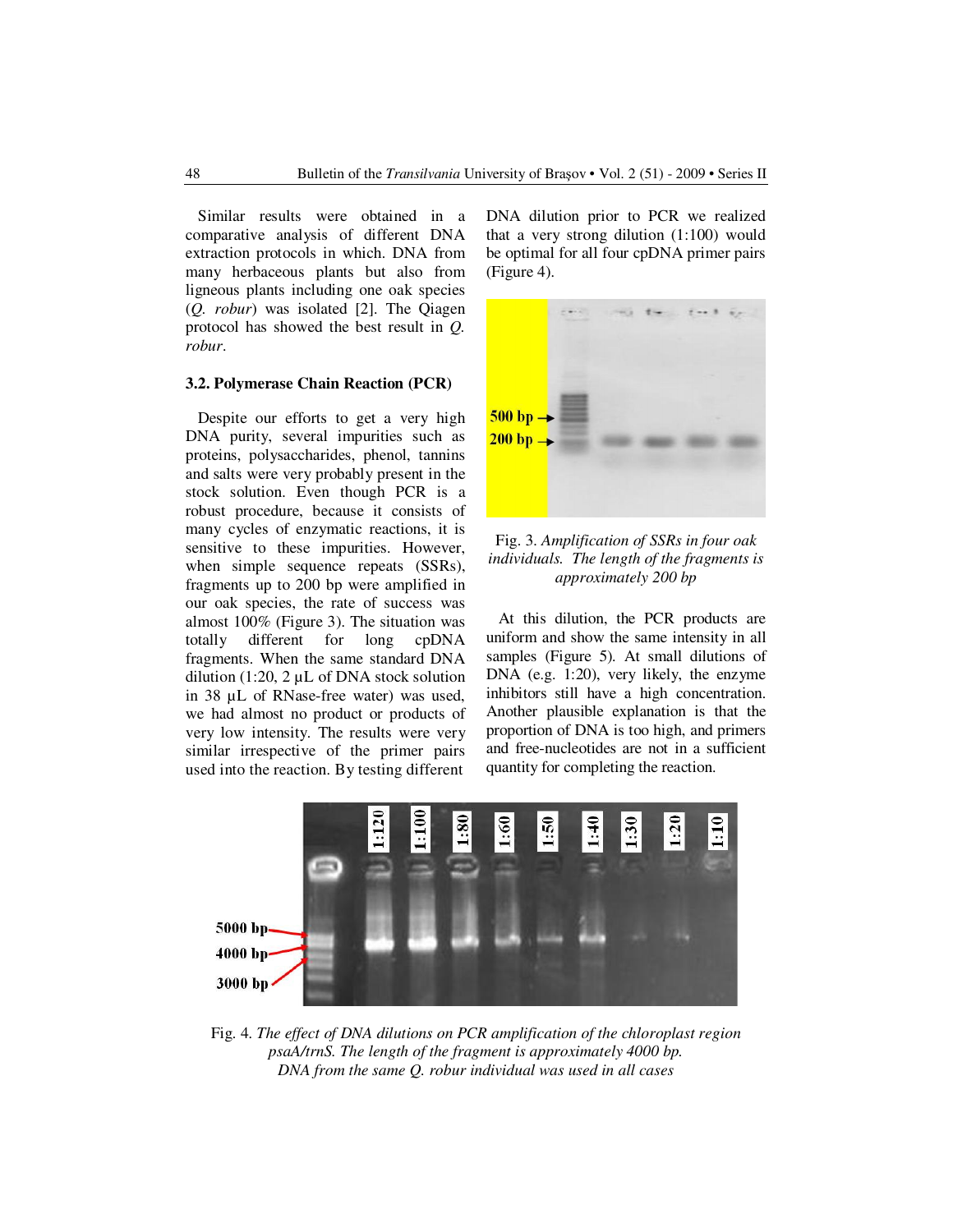Similar results were obtained in a comparative analysis of different DNA extraction protocols in which. DNA from many herbaceous plants but also from ligneous plants including one oak species (*Q. robur*) was isolated [2]. The Qiagen protocol has showed the best result in *Q. robur*.

# **3.2. Polymerase Chain Reaction (PCR)**

Despite our efforts to get a very high DNA purity, several impurities such as proteins, polysaccharides, phenol, tannins and salts were very probably present in the stock solution. Even though PCR is a robust procedure, because it consists of many cycles of enzymatic reactions, it is sensitive to these impurities. However, when simple sequence repeats (SSRs), fragments up to 200 bp were amplified in our oak species, the rate of success was almost 100% (Figure 3). The situation was totally different for long cpDNA fragments. When the same standard DNA dilution (1:20, 2  $\mu$ L of DNA stock solution in 38 µL of RNase-free water) was used, we had almost no product or products of very low intensity. The results were very similar irrespective of the primer pairs used into the reaction. By testing different

DNA dilution prior to PCR we realized that a very strong dilution (1:100) would be optimal for all four cpDNA primer pairs (Figure 4).



Fig. 3. *Amplification of SSRs in four oak individuals. The length of the fragments is approximately 200 bp*

At this dilution, the PCR products are uniform and show the same intensity in all samples (Figure 5). At small dilutions of DNA (e.g. 1:20), very likely, the enzyme inhibitors still have a high concentration. Another plausible explanation is that the proportion of DNA is too high, and primers and free-nucleotides are not in a sufficient quantity for completing the reaction.



Fig. 4. *The effect of DNA dilutions on PCR amplification of the chloroplast region psaA/trnS. The length of the fragment is approximately 4000 bp. DNA from the same Q. robur individual was used in all cases*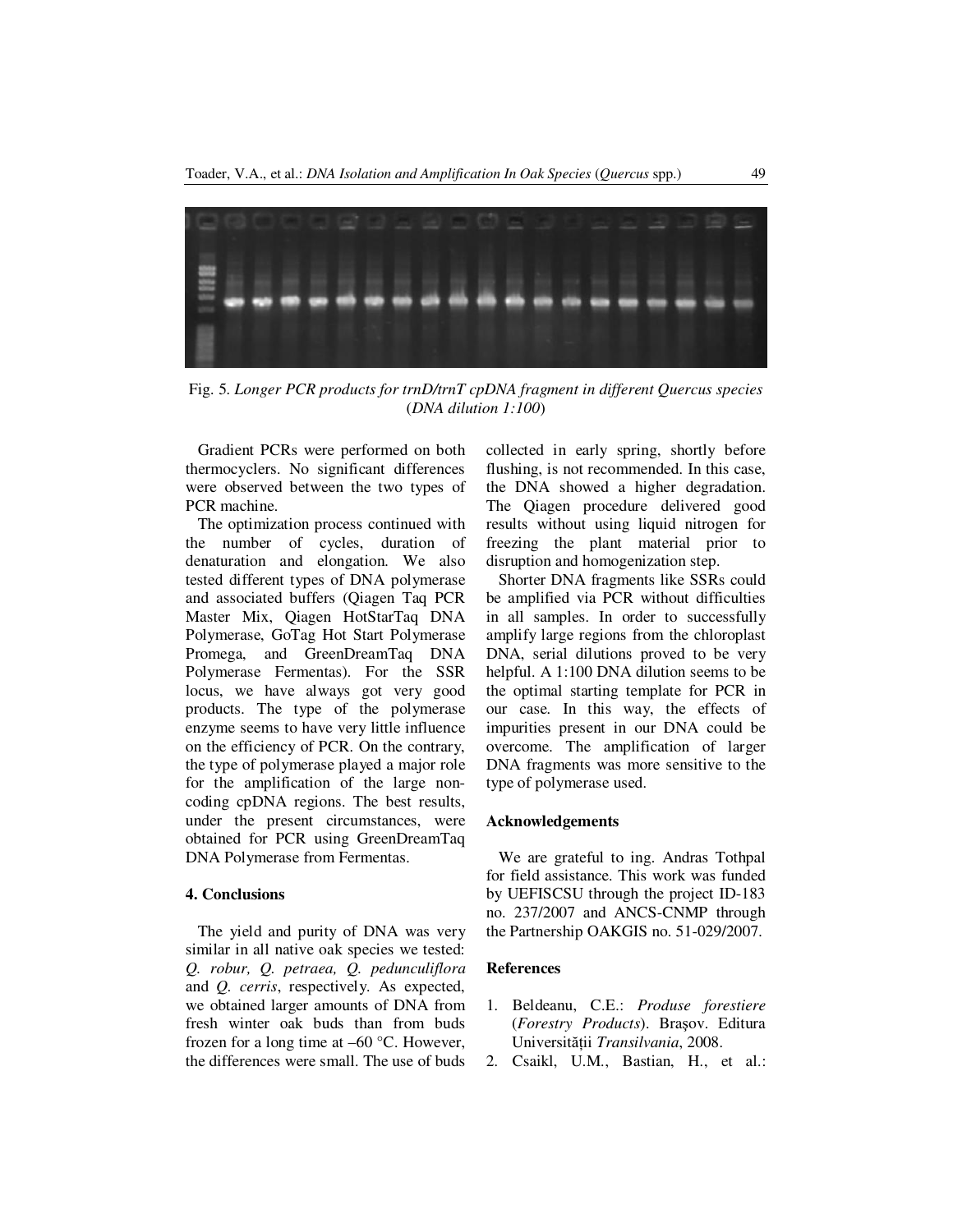

Fig. 5. *Longer PCR products for trnD/trnT cpDNA fragment in different Quercus species*  (*DNA dilution 1:100*)

Gradient PCRs were performed on both thermocyclers. No significant differences were observed between the two types of PCR machine.

The optimization process continued with the number of cycles, duration of denaturation and elongation. We also tested different types of DNA polymerase and associated buffers (Qiagen Taq PCR Master Mix, Qiagen HotStarTaq DNA Polymerase, GoTag Hot Start Polymerase Promega, and GreenDreamTaq DNA Polymerase Fermentas). For the SSR locus, we have always got very good products. The type of the polymerase enzyme seems to have very little influence on the efficiency of PCR. On the contrary, the type of polymerase played a major role for the amplification of the large noncoding cpDNA regions. The best results, under the present circumstances, were obtained for PCR using GreenDreamTaq DNA Polymerase from Fermentas.

#### **4. Conclusions**

The yield and purity of DNA was very similar in all native oak species we tested: *Q. robur, Q. petraea, Q. pedunculiflora* and *Q. cerris*, respectively. As expected, we obtained larger amounts of DNA from fresh winter oak buds than from buds frozen for a long time at –60 °C. However, the differences were small. The use of buds collected in early spring, shortly before flushing, is not recommended. In this case, the DNA showed a higher degradation. The Qiagen procedure delivered good results without using liquid nitrogen for freezing the plant material prior to disruption and homogenization step.

Shorter DNA fragments like SSRs could be amplified via PCR without difficulties in all samples. In order to successfully amplify large regions from the chloroplast DNA, serial dilutions proved to be very helpful. A 1:100 DNA dilution seems to be the optimal starting template for PCR in our case. In this way, the effects of impurities present in our DNA could be overcome. The amplification of larger DNA fragments was more sensitive to the type of polymerase used.

#### **Acknowledgements**

We are grateful to ing. Andras Tothpal for field assistance. This work was funded by UEFISCSU through the project ID-183 no. 237/2007 and ANCS-CNMP through the Partnership OAKGIS no. 51-029/2007.

#### **References**

- 1. Beldeanu, C.E.: *Produse forestiere*  (*Forestry Products*). Braşov. Editura Universităţii *Transilvania*, 2008.
- 2. Csaikl, U.M., Bastian, H., et al.: